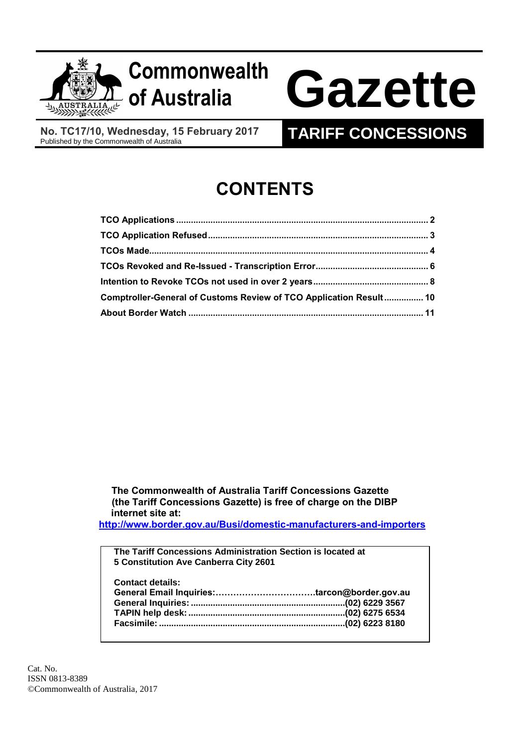

# **Commonwealth**

# **of Australia Gazette**

**No. TC17/10, Wednesday, 15 February 2017**

### **TARIFF CONCESSIONS**

## **CONTENTS**

| Comptroller-General of Customs Review of TCO Application Result 10 |  |
|--------------------------------------------------------------------|--|
|                                                                    |  |

 **The Commonwealth of Australia Tariff Concessions Gazette (the Tariff Concessions Gazette) is free of charge on the DIBP internet site at:**

**<http://www.border.gov.au/Busi/domestic-manufacturers-and-importers>**

**The Tariff Concessions Administration Section is located at 5 Constitution Ave Canberra City 2601**

**Contact details: General Email Inquiries:…………………………….tarcon@border.gov.au General Inquiries: ...............................................................(02) 6229 3567 TAPIN help desk:................................................................(02) 6275 6534 Facsimile: ............................................................................(02) 6223 8180**

Cat. No. ISSN 0813-8389 ©Commonwealth of Australia, 2017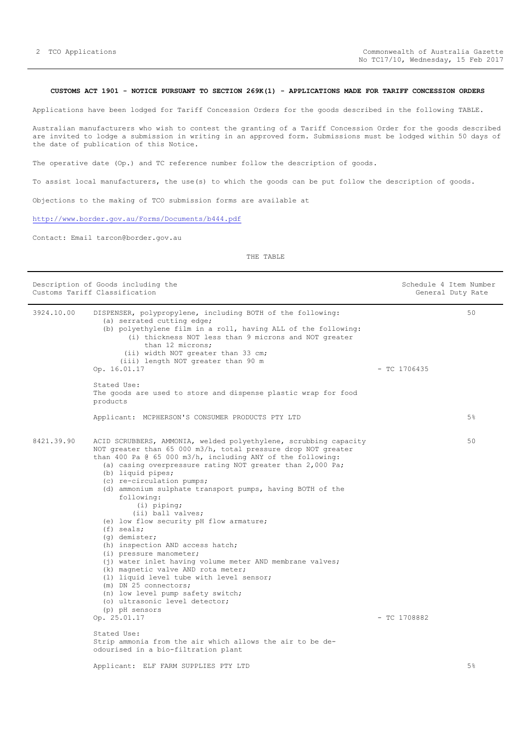#### <span id="page-1-0"></span>**CUSTOMS ACT 1901 - NOTICE PURSUANT TO SECTION 269K(1) - APPLICATIONS MADE FOR TARIFF CONCESSION ORDERS**

Applications have been lodged for Tariff Concession Orders for the goods described in the following TABLE.

Australian manufacturers who wish to contest the granting of a Tariff Concession Order for the goods described are invited to lodge a submission in writing in an approved form. Submissions must be lodged within 50 days of the date of publication of this Notice.

The operative date (Op.) and TC reference number follow the description of goods.

To assist local manufacturers, the use(s) to which the goods can be put follow the description of goods.

Objections to the making of TCO submission forms are available at

<http://www.border.gov.au/Forms/Documents/b444.pdf>

Contact: Email tarcon@border.gov.au

|            | Description of Goods including the<br>Customs Tariff Classification                                                                                                                                                                                                                                                                                                                                                                                                                                                                                                                                                                                                                                                                                                                                                                                        |                | Schedule 4 Item Number<br>General Duty Rate |
|------------|------------------------------------------------------------------------------------------------------------------------------------------------------------------------------------------------------------------------------------------------------------------------------------------------------------------------------------------------------------------------------------------------------------------------------------------------------------------------------------------------------------------------------------------------------------------------------------------------------------------------------------------------------------------------------------------------------------------------------------------------------------------------------------------------------------------------------------------------------------|----------------|---------------------------------------------|
| 3924.10.00 | DISPENSER, polypropylene, including BOTH of the following:<br>(a) serrated cutting edge;<br>(b) polyethylene film in a roll, having ALL of the following:<br>(i) thickness NOT less than 9 microns and NOT greater<br>than 12 microns;<br>(ii) width NOT greater than 33 cm;<br>(iii) length NOT greater than 90 m<br>Op. 16.01.17                                                                                                                                                                                                                                                                                                                                                                                                                                                                                                                         | $-$ TC 1706435 | 50                                          |
|            | Stated Use:<br>The goods are used to store and dispense plastic wrap for food<br>products                                                                                                                                                                                                                                                                                                                                                                                                                                                                                                                                                                                                                                                                                                                                                                  |                |                                             |
|            | Applicant: MCPHERSON'S CONSUMER PRODUCTS PTY LTD                                                                                                                                                                                                                                                                                                                                                                                                                                                                                                                                                                                                                                                                                                                                                                                                           |                | 5%                                          |
| 8421.39.90 | ACID SCRUBBERS, AMMONIA, welded polyethylene, scrubbing capacity<br>NOT greater than 65 000 m3/h, total pressure drop NOT greater<br>than 400 Pa @ 65 000 m3/h, including ANY of the following:<br>(a) casing overpressure rating NOT greater than 2,000 Pa;<br>(b) liquid pipes;<br>(c) re-circulation pumps;<br>(d) ammonium sulphate transport pumps, having BOTH of the<br>following:<br>$(i)$ piping;<br>(ii) ball valves;<br>(e) low flow security pH flow armature;<br>$(f)$ seals;<br>(q) demister;<br>(h) inspection AND access hatch;<br>(i) pressure manometer;<br>(j) water inlet having volume meter AND membrane valves;<br>(k) magnetic valve AND rota meter;<br>(1) liquid level tube with level sensor;<br>(m) DN 25 connectors;<br>(n) low level pump safety switch;<br>(o) ultrasonic level detector;<br>(p) pH sensors<br>Op. 25.01.17 | $-$ TC 1708882 | 50                                          |
|            | Stated Use:<br>Strip ammonia from the air which allows the air to be de-<br>odourised in a bio-filtration plant                                                                                                                                                                                                                                                                                                                                                                                                                                                                                                                                                                                                                                                                                                                                            |                |                                             |
|            | Applicant: ELF FARM SUPPLIES PTY LTD                                                                                                                                                                                                                                                                                                                                                                                                                                                                                                                                                                                                                                                                                                                                                                                                                       |                | 5%                                          |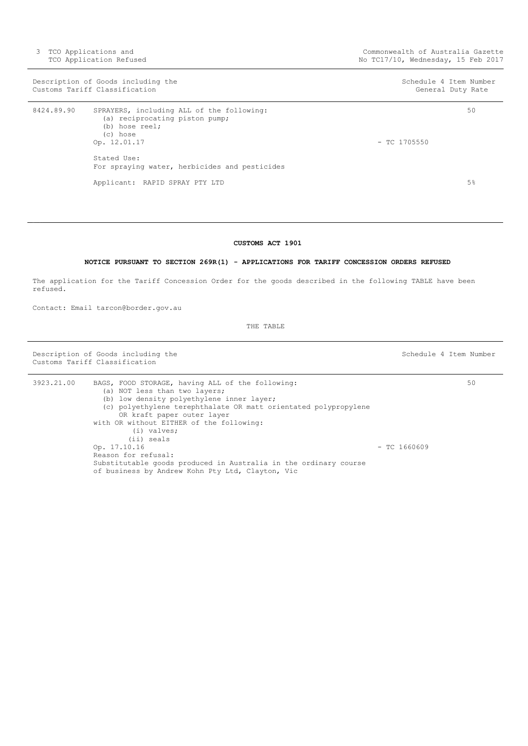|            | Description of Goods including the<br>Customs Tariff Classification                                                                                                                       | Schedule 4 Item Number | General Duty Rate |
|------------|-------------------------------------------------------------------------------------------------------------------------------------------------------------------------------------------|------------------------|-------------------|
| 8424.89.90 | SPRAYERS, including ALL of the following:<br>(a) reciprocating piston pump;<br>(b) hose reel;<br>(c) hose<br>Op. 12.01.17<br>Stated Use:<br>For spraying water, herbicides and pesticides | $-$ TC 1705550         | 50                |
|            | Applicant: RAPID SPRAY PTY LTD                                                                                                                                                            |                        | $5\%$             |

#### **CUSTOMS ACT 1901**

#### **NOTICE PURSUANT TO SECTION 269R(1) - APPLICATIONS FOR TARIFF CONCESSION ORDERS REFUSED**

<span id="page-2-0"></span>The application for the Tariff Concession Order for the goods described in the following TABLE have been refused.

Contact: Email tarcon@border.gov.au

THE TABLE

Description of Goods including the Schedule 4 Item Number Schedule 4 Item Number Customs Tariff Classification

3923.21.00 BAGS, FOOD STORAGE, having ALL of the following: (a) NOT less than two layers; (b) low density polyethylene inner layer; (c) polyethylene terephthalate OR matt orientated polypropylene OR kraft paper outer layer with OR without EITHER of the following: (i) valves; (ii) seals Op. 17.10.16 - TC 1660609 Reason for refusal: Substitutable goods produced in Australia in the ordinary course of business by Andrew Kohn Pty Ltd, Clayton, Vic 50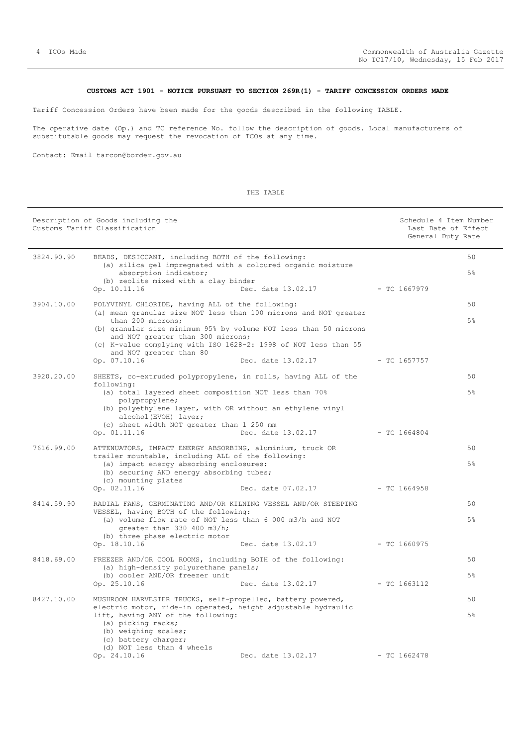#### **CUSTOMS ACT 1901 - NOTICE PURSUANT TO SECTION 269R(1) - TARIFF CONCESSION ORDERS MADE**

<span id="page-3-0"></span>Tariff Concession Orders have been made for the goods described in the following TABLE.

The operative date (Op.) and TC reference No. follow the description of goods. Local manufacturers of substitutable goods may request the revocation of TCOs at any time.

Contact: Email tarcon@border.gov.au

#### Description of Goods including the Schedule 4 Item Number Schedule 4 Item Number Customs Tariff Classification and the control of the control of the control of the control of the control of the control of the control of the control of the control of the control of the control of the control of the cont General Duty Rate 3824.90.90 BEADS, DESICCANT, including BOTH of the following: (a) silica gel impregnated with a coloured organic moisture absorption indicator; (b) zeolite mixed with a clay binder<br>Op. 10.11.16 Dec. Dec. date 13.02.17 - TC 1667979 50 5% 3904.10.00 POLYVINYL CHLORIDE, having ALL of the following: (a) mean granular size NOT less than 100 microns and NOT greater than 200 microns; (b) granular size minimum 95% by volume NOT less than 50 microns and NOT greater than 300 microns; (c) K-value complying with ISO 1628-2: 1998 of NOT less than 55 and NOT greater than 80 Op. 07.10.16 Dec. date 13.02.17 - TC 1657757 50 5% 3920.20.00 SHEETS, co-extruded polypropylene, in rolls, having ALL of the following: (a) total layered sheet composition NOT less than 70% polypropylene; (b) polyethylene layer, with OR without an ethylene vinyl alcohol(EVOH) layer; (c) sheet width NOT greater than 1 250 mm Op. 01.11.16 Dec. date 13.02.17 - TC 1664804 50 5% 7616.99.00 ATTENUATORS, IMPACT ENERGY ABSORBING, aluminium, truck OR trailer mountable, including ALL of the following: (a) impact energy absorbing enclosures; (b) securing AND energy absorbing tubes;  $(c)$  mounting plates<br>Op.  $02.11.16$ Dec. date 07.02.17 - TC 1664958 50 5% 8414.59.90 RADIAL FANS, GERMINATING AND/OR KILNING VESSEL AND/OR STEEPING VESSEL, having BOTH of the following: (a) volume flow rate of NOT less than 6 000 m3/h and NOT greater than 330 400 m3/h; (b) three phase electric motor Op. 18.10.16 Dec. date 13.02.17 - TC 1660975 50 5% 8418.69.00 FREEZER AND/OR COOL ROOMS, including BOTH of the following: (a) high-density polyurethane panels; (b) cooler AND/OR freezer unit Op. 25.10.16 Dec. date 13.02.17 - TC 1663112 50 5% 8427.10.00 MUSHROOM HARVESTER TRUCKS, self-propelled, battery powered, electric motor, ride-in operated, height adjustable hydraulic lift, having ANY of the following: (a) picking racks; (b) weighing scales; (c) battery charger; (d) NOT less than 4 wheels Op. 24.10.16 Dec. date 13.02.17 - TC 1662478  $50$ 5%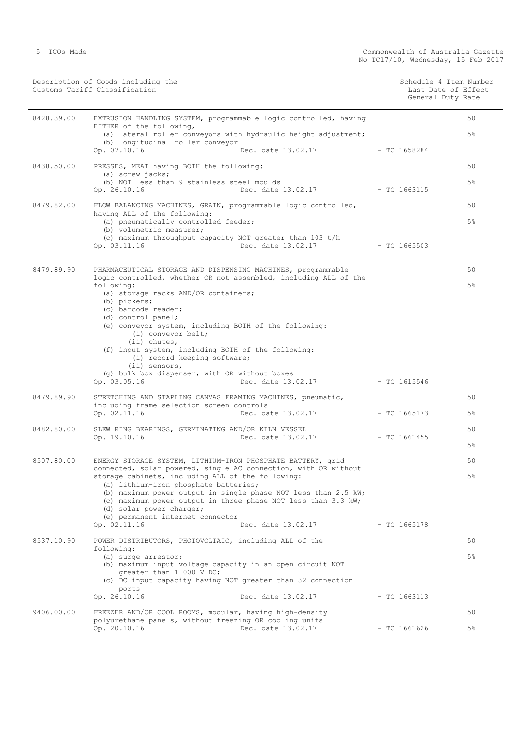|            | Description of Goods including the<br>Customs Tariff Classification                                                                                                                                                                                       |                                   | Schedule 4 Item Number<br>Last Date of Effect<br>General Duty Rate |                |
|------------|-----------------------------------------------------------------------------------------------------------------------------------------------------------------------------------------------------------------------------------------------------------|-----------------------------------|--------------------------------------------------------------------|----------------|
| 8428.39.00 | EXTRUSION HANDLING SYSTEM, programmable logic controlled, having<br>EITHER of the following,                                                                                                                                                              |                                   |                                                                    | 50             |
|            | (a) lateral roller conveyors with hydraulic height adjustment;<br>(b) longitudinal roller conveyor                                                                                                                                                        |                                   |                                                                    | 5 <sup>°</sup> |
|            | Op. 07.10.16                                                                                                                                                                                                                                              | Dec. date 13.02.17                | $-$ TC 1658284                                                     |                |
| 8438.50.00 | PRESSES, MEAT having BOTH the following:<br>(a) screw jacks;                                                                                                                                                                                              |                                   |                                                                    | 50             |
|            | (b) NOT less than 9 stainless steel moulds<br>Op. 26.10.16                                                                                                                                                                                                | Dec. date 13.02.17 - TC 1663115   |                                                                    | $5\%$          |
| 8479.82.00 | FLOW BALANCING MACHINES, GRAIN, programmable logic controlled,<br>having ALL of the following:                                                                                                                                                            |                                   |                                                                    | 50             |
|            | (a) pneumatically controlled feeder;<br>(b) volumetric measurer;                                                                                                                                                                                          |                                   |                                                                    | $5\%$          |
|            | (c) maximum throughput capacity NOT greater than 103 t/h<br>Op. 03.11.16                                                                                                                                                                                  | Dec. date 13.02.17                | - TC 1665503                                                       |                |
| 8479.89.90 | PHARMACEUTICAL STORAGE AND DISPENSING MACHINES, programmable                                                                                                                                                                                              |                                   |                                                                    | 50             |
|            | logic controlled, whether OR not assembled, including ALL of the<br>following:<br>(a) storage racks AND/OR containers;                                                                                                                                    |                                   |                                                                    | 5 <sup>°</sup> |
|            | (b) pickers;<br>(c) barcode reader;                                                                                                                                                                                                                       |                                   |                                                                    |                |
|            | (d) control panel;<br>(e) conveyor system, including BOTH of the following:<br>(i) conveyor belt;                                                                                                                                                         |                                   |                                                                    |                |
|            | (ii) chutes,<br>(f) input system, including BOTH of the following:<br>(i) record keeping software;                                                                                                                                                        |                                   |                                                                    |                |
|            | (ii) sensors,<br>(g) bulk box dispenser, with OR without boxes<br>Op. 03.05.16                                                                                                                                                                            | Dec. date 13.02.17 - TC 1615546   |                                                                    |                |
| 8479.89.90 | STRETCHING AND STAPLING CANVAS FRAMING MACHINES, pneumatic,<br>including frame selection screen controls                                                                                                                                                  |                                   |                                                                    | 50             |
|            | Op. 02.11.16                                                                                                                                                                                                                                              | Dec. date 13.02.17 - TC 1665173   |                                                                    | $5\%$          |
| 8482.80.00 | SLEW RING BEARINGS, GERMINATING AND/OR KILN VESSEL<br>Op. 19.10.16                                                                                                                                                                                        | Dec. date $13.02.17$ - TC 1661455 |                                                                    | 50             |
|            |                                                                                                                                                                                                                                                           |                                   |                                                                    | $5\%$          |
| 8507.80.00 | ENERGY STORAGE SYSTEM, LITHIUM-IRON PHOSPHATE BATTERY, grid<br>connected, solar powered, single AC connection, with OR without                                                                                                                            |                                   |                                                                    | 50             |
|            | storage cabinets, including ALL of the following:<br>(a) lithium-iron phosphate batteries;<br>(b) maximum power output in single phase NOT less than 2.5 kW;<br>(c) maximum power output in three phase NOT less than 3.3 kW;<br>(d) solar power charger; |                                   |                                                                    | $5\%$          |
|            | (e) permanent internet connector<br>Op. 02.11.16                                                                                                                                                                                                          | Dec. date 13.02.17                | $-$ TC 1665178                                                     |                |
| 8537.10.90 | POWER DISTRIBUTORS, PHOTOVOLTAIC, including ALL of the<br>following:                                                                                                                                                                                      |                                   |                                                                    | 50             |
|            | (a) surge arrestor;<br>(b) maximum input voltage capacity in an open circuit NOT<br>greater than 1 000 V DC;                                                                                                                                              |                                   |                                                                    | $5\%$          |
|            | (c) DC input capacity having NOT greater than 32 connection<br>ports<br>Op. 26.10.16                                                                                                                                                                      | Dec. date 13.02.17                | $-$ TC 1663113                                                     |                |
|            |                                                                                                                                                                                                                                                           |                                   |                                                                    |                |
| 9406.00.00 | FREEZER AND/OR COOL ROOMS, modular, having high-density<br>polyurethane panels, without freezing OR cooling units<br>Op. 20.10.16                                                                                                                         | Dec. date 13.02.17                | $-$ TC 1661626                                                     | 50<br>5%       |
|            |                                                                                                                                                                                                                                                           |                                   |                                                                    |                |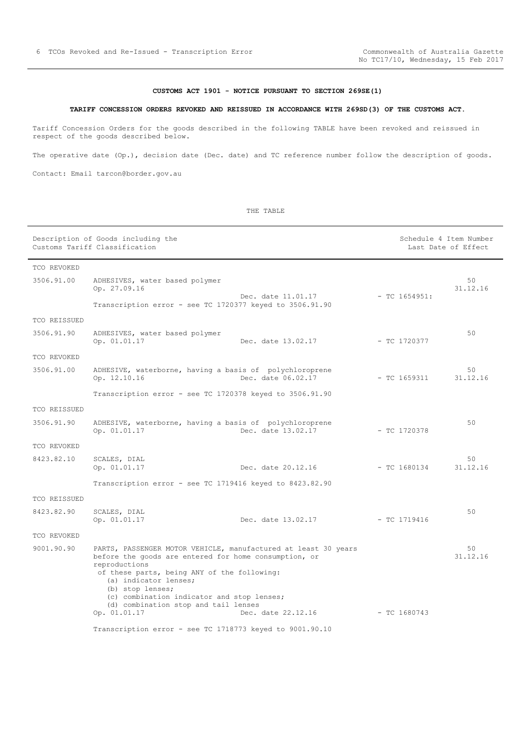#### **CUSTOMS ACT 1901 - NOTICE PURSUANT TO SECTION 269SE(1)**

#### <span id="page-5-0"></span>**TARIFF CONCESSION ORDERS REVOKED AND REISSUED IN ACCORDANCE WITH 269SD(3) OF THE CUSTOMS ACT.**

Tariff Concession Orders for the goods described in the following TABLE have been revoked and reissued in respect of the goods described below.

The operative date (Op.), decision date (Dec. date) and TC reference number follow the description of goods.

Contact: Email tarcon@border.gov.au

Description of Goods including the Schedule 4 Item Number<br>
Customs Tariff Classification<br>
Schedule 4 Item Number Customs Tariff Classification TCO REVOKED 3506.91.00 ADHESIVES, water based polymer Op. 27.09.16 Dec. date 11.01.17 - TC 1654951: Transcription error - see TC 1720377 keyed to 3506.91.90 50 31.12.16 TCO REISSUED 3506.91.90 ADHESIVES, water based polymer Dec. date 13.02.17 - TC 1720377 50 TCO REVOKED 3506.91.00 ADHESIVE, waterborne, having a basis of polychloroprene Dec. date  $06.02.17$  - TC 1659311 Transcription error - see TC 1720378 keyed to 3506.91.90 50 31.12.16 TCO REISSUED 3506.91.90 ADHESIVE, waterborne, having a basis of polychloroprene Op. 01.01.17 Dec. date 13.02.17 - TC 1720378 50 TCO REVOKED 8423.82.10 SCALES, DIAL Op. 01.01.17 Dec. date 20.12.16 - TC 1680134 Transcription error - see TC 1719416 keyed to 8423.82.90 50 31.12.16 TCO REISSUED 8423.82.90 SCALES, DIAL<br>Op. 01.01.17 Dec. date 13.02.17 - TC 1719416 50 TCO REVOKED 9001.90.90 PARTS, PASSENGER MOTOR VEHICLE, manufactured at least 30 years before the goods are entered for home consumption, or reproductions of these parts, being ANY of the following: (a) indicator lenses; (b) stop lenses; (c) combination indicator and stop lenses; (d) combination stop and tail lenses Op. 01.01.17 Dec. date 22.12.16 - TC 1680743 Transcription error - see TC 1718773 keyed to 9001.90.10  $50$ 31.12.16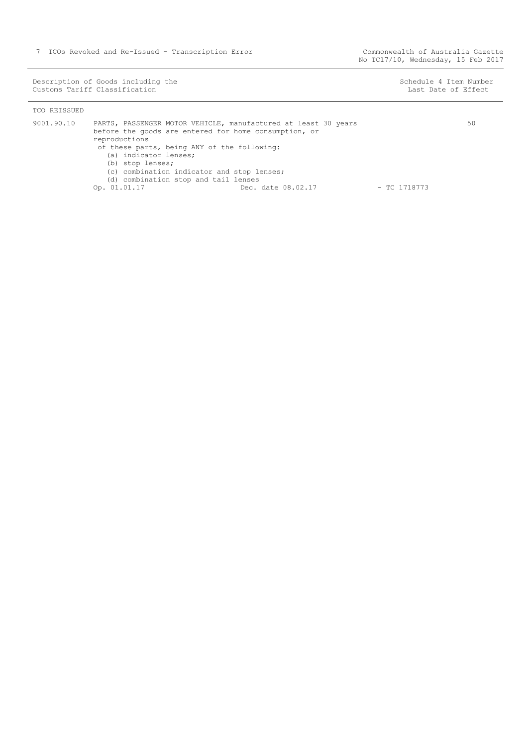Description of Goods including the Schedule 4 Item Number (Schedule 4 Item Number Customs Tariff Classification Last Date of Effect

50

| TCO REISSUED |                                                                                                                                                                                                                                                                                                                                                                  |                |
|--------------|------------------------------------------------------------------------------------------------------------------------------------------------------------------------------------------------------------------------------------------------------------------------------------------------------------------------------------------------------------------|----------------|
| 9001.90.10   | PARTS, PASSENGER MOTOR VEHICLE, manufactured at least 30 years<br>before the goods are entered for home consumption, or<br>reproductions<br>of these parts, being ANY of the following:<br>(a) indicator lenses;<br>(b) stop lenses;<br>(c) combination indicator and stop lenses;<br>(d) combination stop and tail lenses<br>Op. 01.01.17<br>Dec. date 08.02.17 | $-$ TC 1718773 |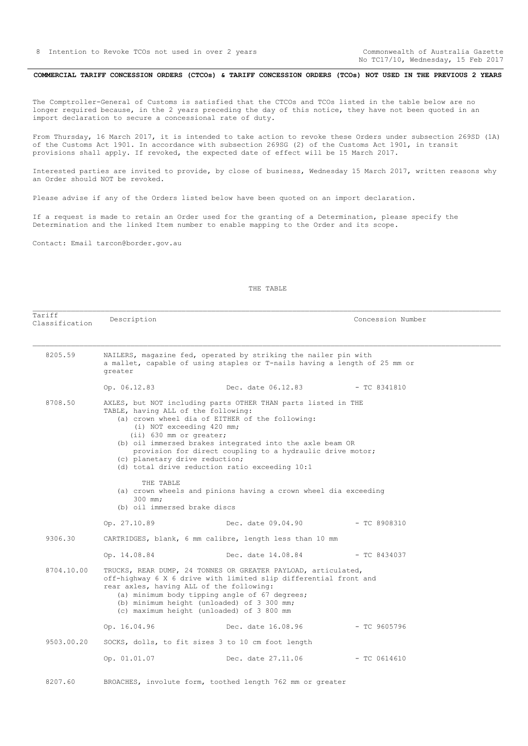No TC17/10, Wednesday, 15 Feb 2017

#### <span id="page-7-0"></span>COMMERCIAL TARIFF CONCESSION ORDERS (CTCOs) & TARIFF CONCESSION ORDERS (TCOs) NOT USED IN THE PREVIOUS 2 YEARS

The Comptroller-General of Customs is satisfied that the CTCOs and TCOs listed in the table below are no longer required because, in the 2 years preceding the day of this notice, they have not been quoted in an import declaration to secure a concessional rate of duty.

From Thursday, 16 March 2017, it is intended to take action to revoke these Orders under subsection 269SD (1A) of the Customs Act 1901. In accordance with subsection 269SG (2) of the Customs Act 1901, in transit provisions shall apply. If revoked, the expected date of effect will be 15 March 2017.

Interested parties are invited to provide, by close of business, Wednesday 15 March 2017, written reasons why an Order should NOT be revoked.

Please advise if any of the Orders listed below have been quoted on an import declaration.

ndilli<br>Classification Description **Description** Description **Concession** Number

If a request is made to retain an Order used for the granting of a Determination, please specify the Determination and the linked Item number to enable mapping to the Order and its scope.

Contact: Email tarcon@border.gov.au

Tariff

THE TABLE

 8205.59 NAILERS, magazine fed, operated by striking the nailer pin with a mallet, capable of using staples or T-nails having a length of 25 mm or greater Op. 06.12.83 Dec. date 06.12.83 - TC 8341810 8708.50 AXLES, but NOT including parts OTHER THAN parts listed in THE TABLE, having ALL of the following: (a) crown wheel dia of EITHER of the following: (i) NOT exceeding 420 mm; (ii) 630 mm or greater; (b) oil immersed brakes integrated into the axle beam OR provision for direct coupling to a hydraulic drive motor; (c) planetary drive reduction; (d) total drive reduction ratio exceeding 10:1 THE TABLE (a) crown wheels and pinions having a crown wheel dia exceeding 300 mm; (b) oil immersed brake discs Op. 27.10.89 Dec. date 09.04.90 - TC 8908310 9306.30 CARTRIDGES, blank, 6 mm calibre, length less than 10 mm Op. 14.08.84 Dec. date 14.08.84 - TC 8434037 8704.10.00 TRUCKS, REAR DUMP, 24 TONNES OR GREATER PAYLOAD, articulated, off-highway 6 X 6 drive with limited slip differential front and rear axles, having ALL of the following: (a) minimum body tipping angle of 67 degrees; (b) minimum height (unloaded) of 3 300 mm; (c) maximum height (unloaded) of 3 800 mm Op. 16.04.96 Dec. date 16.08.96 - TC 9605796 9503.00.20 SOCKS, dolls, to fit sizes 3 to 10 cm foot length Op. 01.01.07 Dec. date 27.11.06 - TC 0614610 8207.60 BROACHES, involute form, toothed length 762 mm or greater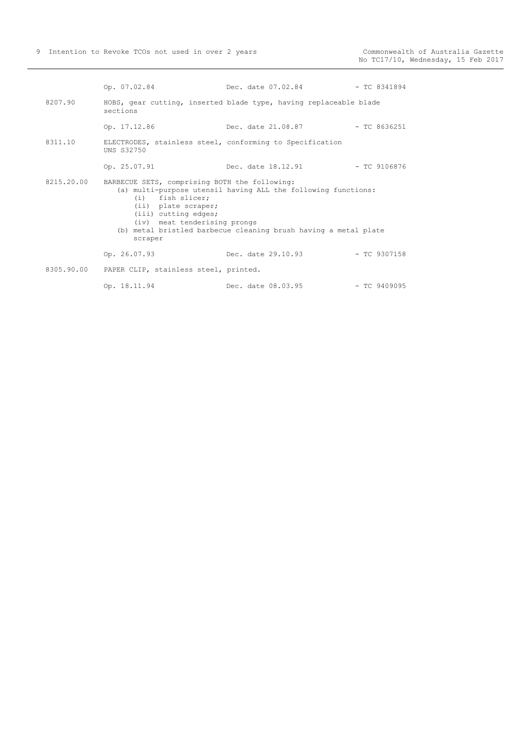|            | Op. 07.02.84                                                                                                                                                  | Dec. date 07.02.84                                                                                                               | $-$ TC 8341894 |
|------------|---------------------------------------------------------------------------------------------------------------------------------------------------------------|----------------------------------------------------------------------------------------------------------------------------------|----------------|
| 8207.90    | sections                                                                                                                                                      | HOBS, gear cutting, inserted blade type, having replaceable blade                                                                |                |
|            | Op. 17.12.86                                                                                                                                                  | Dec. date 21.08.87                                                                                                               | $-$ TC 8636251 |
| 8311.10    | UNS S32750                                                                                                                                                    | ELECTRODES, stainless steel, conforming to Specification                                                                         |                |
|            | Op. 25.07.91                                                                                                                                                  | Dec. date 18.12.91                                                                                                               | — ТС 9106876   |
| 8215.20.00 | BARBECUE SETS, comprising BOTH the following:<br>$(i)$ fish slicer;<br>(ii) plate scraper;<br>(iii) cutting edges;<br>(iv) meat tenderising prongs<br>scraper | (a) multi-purpose utensil having ALL the following functions:<br>(b) metal bristled barbecue cleaning brush having a metal plate |                |
|            | Op. 26.07.93                                                                                                                                                  | Dec. date 29.10.93                                                                                                               | $-$ TC 9307158 |
|            | 8305.90.00 PAPER CLIP, stainless steel, printed.                                                                                                              |                                                                                                                                  |                |
|            | Op. 18.11.94                                                                                                                                                  | Dec. date 08.03.95                                                                                                               | $-$ TC 9409095 |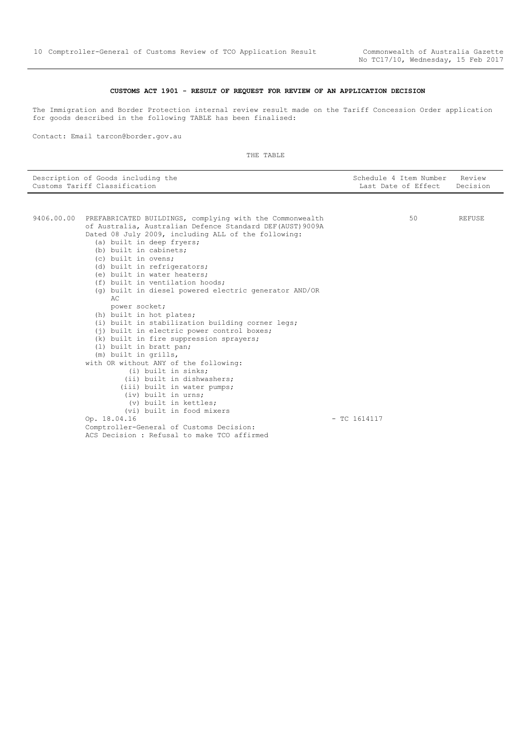#### **CUSTOMS ACT 1901 - RESULT OF REQUEST FOR REVIEW OF AN APPLICATION DECISION**

<span id="page-9-0"></span>The Immigration and Border Protection internal review result made on the Tariff Concession Order application for goods described in the following TABLE has been finalised:

Contact: Email tarcon@border.gov.au

| Description of Goods including the<br>Customs Tariff Classification | Schedule 4 Item Number Review<br>Last Date of Effect Decision |  |
|---------------------------------------------------------------------|---------------------------------------------------------------|--|
|                                                                     |                                                               |  |

| 9406.00.00 | PREFABRICATED BUILDINGS, complying with the Commonwealth  |                | 50 | REFUSE |
|------------|-----------------------------------------------------------|----------------|----|--------|
|            | of Australia, Australian Defence Standard DEF(AUST) 9009A |                |    |        |
|            | Dated 08 July 2009, including ALL of the following:       |                |    |        |
|            | (a) built in deep fryers;                                 |                |    |        |
|            | (b) built in cabinets;                                    |                |    |        |
|            | (c) built in ovens;                                       |                |    |        |
|            | (d) built in refrigerators;                               |                |    |        |
|            | (e) built in water heaters;                               |                |    |        |
|            | (f) built in ventilation hoods;                           |                |    |        |
|            | (q) built in diesel powered electric generator AND/OR     |                |    |        |
|            | AC                                                        |                |    |        |
|            | power socket;                                             |                |    |        |
|            | (h) built in hot plates;                                  |                |    |        |
|            | (i) built in stabilization building corner legs;          |                |    |        |
|            | (j) built in electric power control boxes;                |                |    |        |
|            | (k) built in fire suppression sprayers;                   |                |    |        |
|            | (1) built in bratt pan;                                   |                |    |        |
|            | (m) built in grills,                                      |                |    |        |
|            | with OR without ANY of the following:                     |                |    |        |
|            | (i) built in sinks;                                       |                |    |        |
|            | (ii) built in dishwashers;                                |                |    |        |
|            | (iii) built in water pumps;                               |                |    |        |
|            | (iv) built in urns;                                       |                |    |        |
|            | (v) built in kettles;                                     |                |    |        |
|            | (vi) built in food mixers                                 |                |    |        |
|            | Op. 18.04.16                                              | $-$ TC 1614117 |    |        |
|            | Comptroller-General of Customs Decision:                  |                |    |        |
|            | ACS Decision: Refusal to make TCO affirmed                |                |    |        |